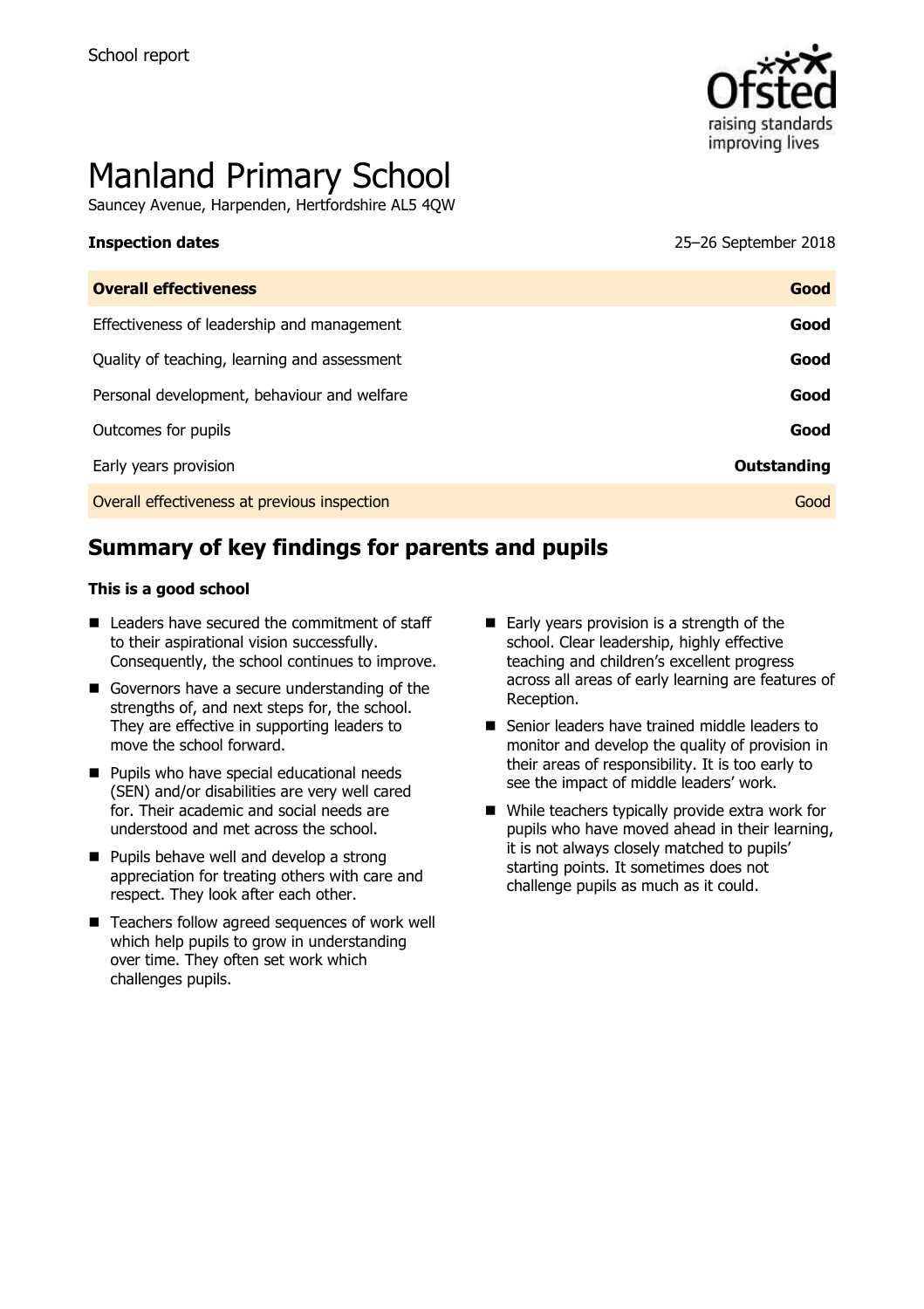

# Manland Primary School

Sauncey Avenue, Harpenden, Hertfordshire AL5 4QW

**Inspection dates** 25–26 September 2018

| <b>Overall effectiveness</b>                 | Good        |
|----------------------------------------------|-------------|
| Effectiveness of leadership and management   | Good        |
| Quality of teaching, learning and assessment | Good        |
| Personal development, behaviour and welfare  | Good        |
| Outcomes for pupils                          | Good        |
| Early years provision                        | Outstanding |
| Overall effectiveness at previous inspection | Good        |
|                                              |             |

# **Summary of key findings for parents and pupils**

#### **This is a good school**

- Leaders have secured the commitment of staff to their aspirational vision successfully. Consequently, the school continues to improve.
- Governors have a secure understanding of the strengths of, and next steps for, the school. They are effective in supporting leaders to move the school forward.
- **Pupils who have special educational needs** (SEN) and/or disabilities are very well cared for. Their academic and social needs are understood and met across the school.
- **Pupils behave well and develop a strong** appreciation for treating others with care and respect. They look after each other.
- Teachers follow agreed sequences of work well which help pupils to grow in understanding over time. They often set work which challenges pupils.
- Early years provision is a strength of the school. Clear leadership, highly effective teaching and children's excellent progress across all areas of early learning are features of Reception.
- Senior leaders have trained middle leaders to monitor and develop the quality of provision in their areas of responsibility. It is too early to see the impact of middle leaders' work.
- While teachers typically provide extra work for pupils who have moved ahead in their learning, it is not always closely matched to pupils' starting points. It sometimes does not challenge pupils as much as it could.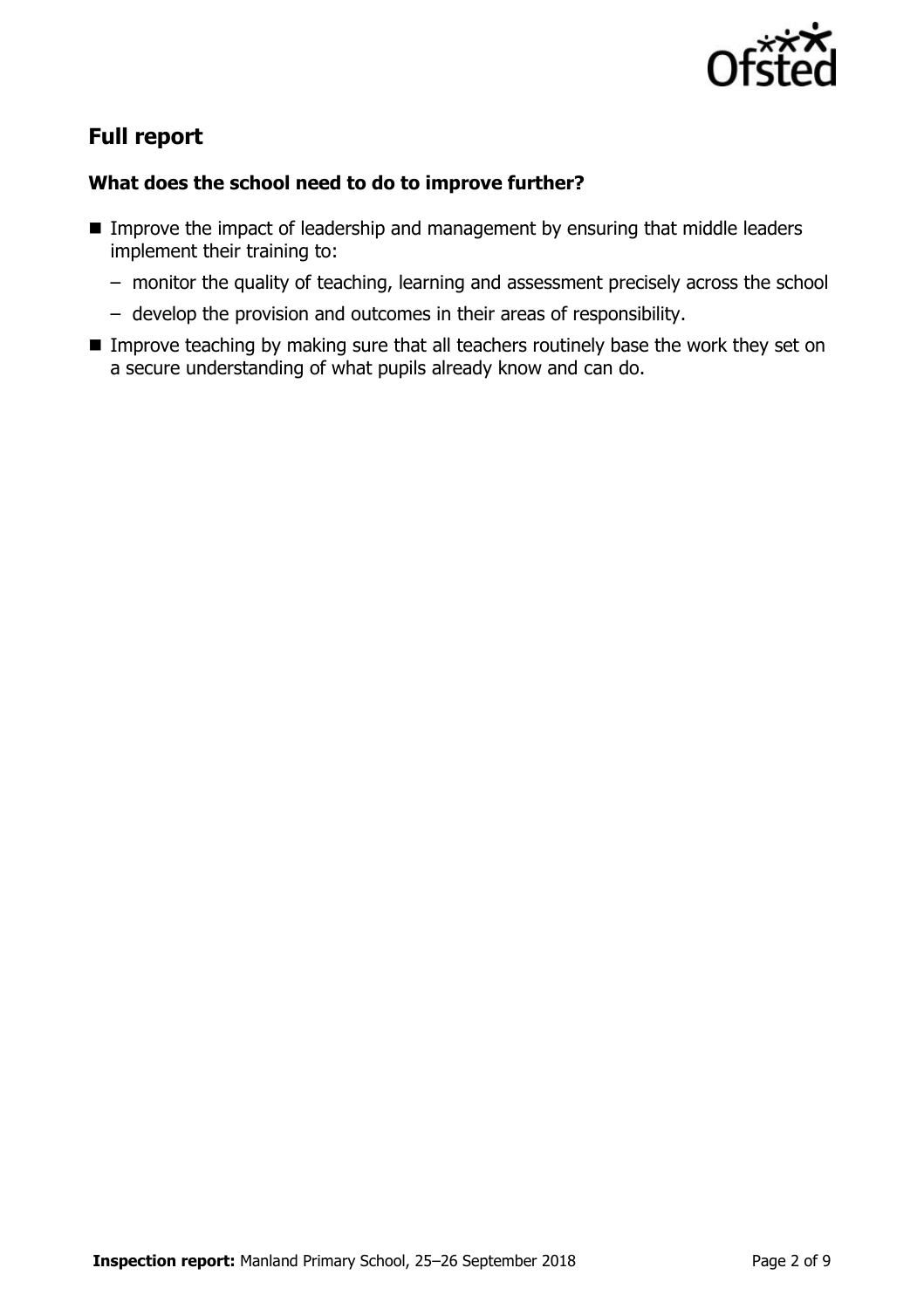

# **Full report**

#### **What does the school need to do to improve further?**

- Improve the impact of leadership and management by ensuring that middle leaders implement their training to:
	- monitor the quality of teaching, learning and assessment precisely across the school
	- develop the provision and outcomes in their areas of responsibility.
- **IMPROVE THE IMPROVE THE IMPROVE THE IMPROVE THANKING SURFER** IN teachers routinely base the work they set on a secure understanding of what pupils already know and can do.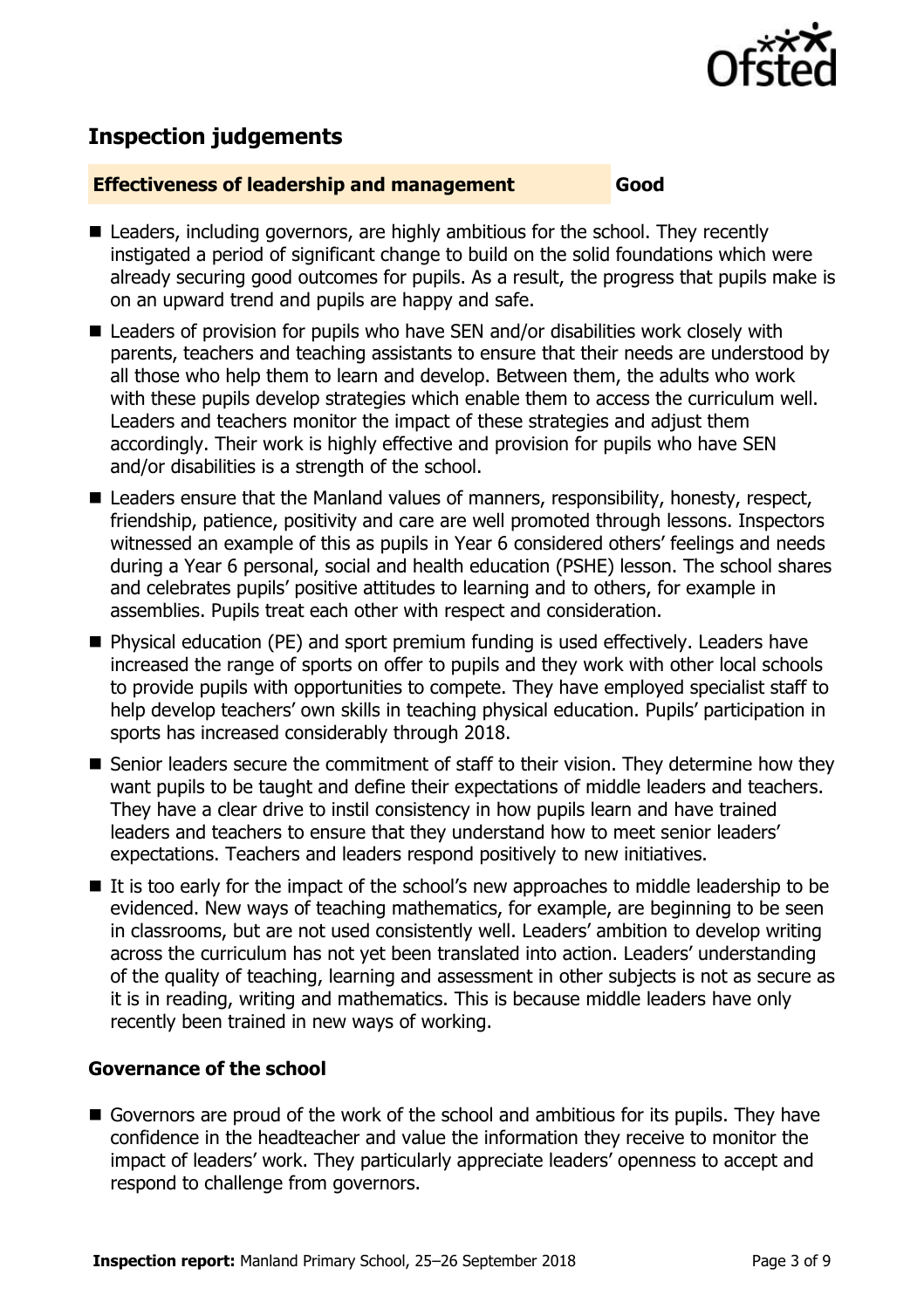

# **Inspection judgements**

#### **Effectiveness of leadership and management Good**

- Leaders, including governors, are highly ambitious for the school. They recently instigated a period of significant change to build on the solid foundations which were already securing good outcomes for pupils. As a result, the progress that pupils make is on an upward trend and pupils are happy and safe.
- Leaders of provision for pupils who have SEN and/or disabilities work closely with parents, teachers and teaching assistants to ensure that their needs are understood by all those who help them to learn and develop. Between them, the adults who work with these pupils develop strategies which enable them to access the curriculum well. Leaders and teachers monitor the impact of these strategies and adjust them accordingly. Their work is highly effective and provision for pupils who have SEN and/or disabilities is a strength of the school.
- Leaders ensure that the Manland values of manners, responsibility, honesty, respect, friendship, patience, positivity and care are well promoted through lessons. Inspectors witnessed an example of this as pupils in Year 6 considered others' feelings and needs during a Year 6 personal, social and health education (PSHE) lesson. The school shares and celebrates pupils' positive attitudes to learning and to others, for example in assemblies. Pupils treat each other with respect and consideration.
- Physical education (PE) and sport premium funding is used effectively. Leaders have increased the range of sports on offer to pupils and they work with other local schools to provide pupils with opportunities to compete. They have employed specialist staff to help develop teachers' own skills in teaching physical education. Pupils' participation in sports has increased considerably through 2018.
- Senior leaders secure the commitment of staff to their vision. They determine how they want pupils to be taught and define their expectations of middle leaders and teachers. They have a clear drive to instil consistency in how pupils learn and have trained leaders and teachers to ensure that they understand how to meet senior leaders' expectations. Teachers and leaders respond positively to new initiatives.
- If is too early for the impact of the school's new approaches to middle leadership to be evidenced. New ways of teaching mathematics, for example, are beginning to be seen in classrooms, but are not used consistently well. Leaders' ambition to develop writing across the curriculum has not yet been translated into action. Leaders' understanding of the quality of teaching, learning and assessment in other subjects is not as secure as it is in reading, writing and mathematics. This is because middle leaders have only recently been trained in new ways of working.

### **Governance of the school**

Governors are proud of the work of the school and ambitious for its pupils. They have confidence in the headteacher and value the information they receive to monitor the impact of leaders' work. They particularly appreciate leaders' openness to accept and respond to challenge from governors.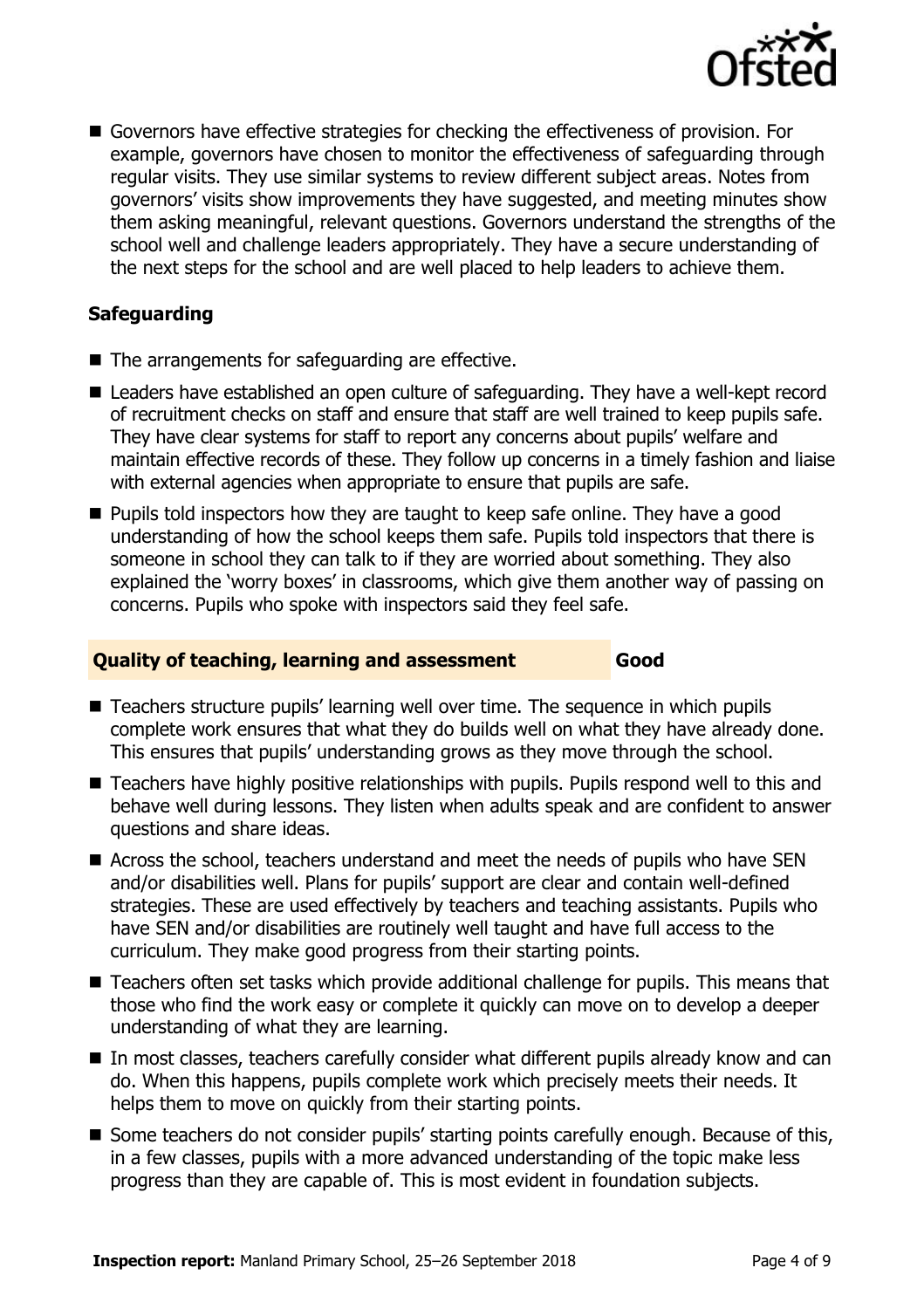

 Governors have effective strategies for checking the effectiveness of provision. For example, governors have chosen to monitor the effectiveness of safeguarding through regular visits. They use similar systems to review different subject areas. Notes from governors' visits show improvements they have suggested, and meeting minutes show them asking meaningful, relevant questions. Governors understand the strengths of the school well and challenge leaders appropriately. They have a secure understanding of the next steps for the school and are well placed to help leaders to achieve them.

### **Safeguarding**

- The arrangements for safeguarding are effective.
- Leaders have established an open culture of safeguarding. They have a well-kept record of recruitment checks on staff and ensure that staff are well trained to keep pupils safe. They have clear systems for staff to report any concerns about pupils' welfare and maintain effective records of these. They follow up concerns in a timely fashion and liaise with external agencies when appropriate to ensure that pupils are safe.
- **Pupils told inspectors how they are taught to keep safe online. They have a good** understanding of how the school keeps them safe. Pupils told inspectors that there is someone in school they can talk to if they are worried about something. They also explained the 'worry boxes' in classrooms, which give them another way of passing on concerns. Pupils who spoke with inspectors said they feel safe.

#### **Quality of teaching, learning and assessment Good**

- Teachers structure pupils' learning well over time. The sequence in which pupils complete work ensures that what they do builds well on what they have already done. This ensures that pupils' understanding grows as they move through the school.
- Teachers have highly positive relationships with pupils. Pupils respond well to this and behave well during lessons. They listen when adults speak and are confident to answer questions and share ideas.
- Across the school, teachers understand and meet the needs of pupils who have SEN and/or disabilities well. Plans for pupils' support are clear and contain well-defined strategies. These are used effectively by teachers and teaching assistants. Pupils who have SEN and/or disabilities are routinely well taught and have full access to the curriculum. They make good progress from their starting points.
- Teachers often set tasks which provide additional challenge for pupils. This means that those who find the work easy or complete it quickly can move on to develop a deeper understanding of what they are learning.
- In most classes, teachers carefully consider what different pupils already know and can do. When this happens, pupils complete work which precisely meets their needs. It helps them to move on quickly from their starting points.
- Some teachers do not consider pupils' starting points carefully enough. Because of this, in a few classes, pupils with a more advanced understanding of the topic make less progress than they are capable of. This is most evident in foundation subjects.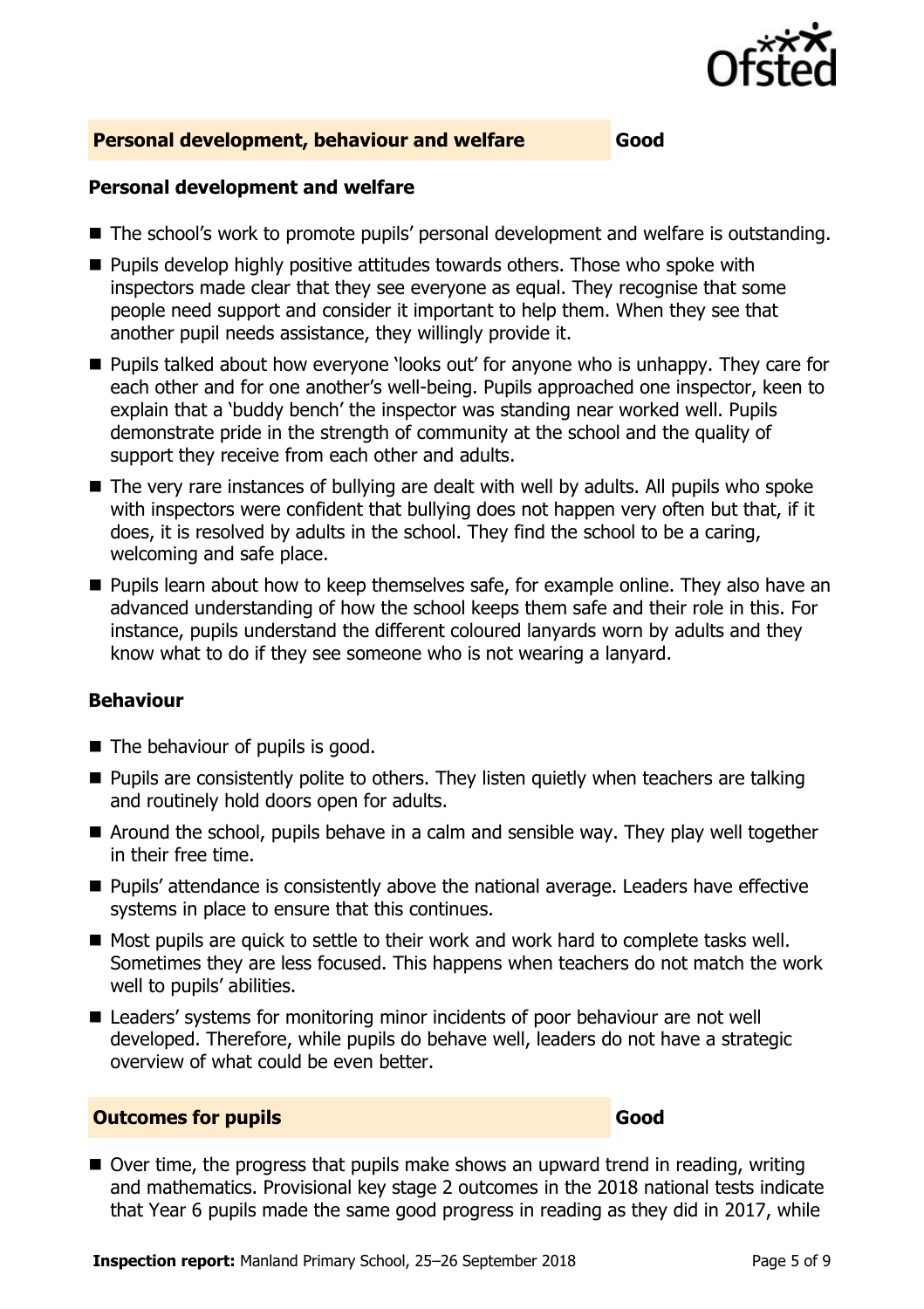

#### **Personal development, behaviour and welfare Good**

#### **Personal development and welfare**

- The school's work to promote pupils' personal development and welfare is outstanding.
- **Pupils develop highly positive attitudes towards others. Those who spoke with** inspectors made clear that they see everyone as equal. They recognise that some people need support and consider it important to help them. When they see that another pupil needs assistance, they willingly provide it.
- **Pupils talked about how everyone 'looks out' for anyone who is unhappy. They care for** each other and for one another's well-being. Pupils approached one inspector, keen to explain that a 'buddy bench' the inspector was standing near worked well. Pupils demonstrate pride in the strength of community at the school and the quality of support they receive from each other and adults.
- The very rare instances of bullying are dealt with well by adults. All pupils who spoke with inspectors were confident that bullying does not happen very often but that, if it does, it is resolved by adults in the school. They find the school to be a caring, welcoming and safe place.
- **Pupils learn about how to keep themselves safe, for example online. They also have an** advanced understanding of how the school keeps them safe and their role in this. For instance, pupils understand the different coloured lanyards worn by adults and they know what to do if they see someone who is not wearing a lanyard.

#### **Behaviour**

- The behaviour of pupils is good.
- **Pupils are consistently polite to others. They listen quietly when teachers are talking** and routinely hold doors open for adults.
- Around the school, pupils behave in a calm and sensible way. They play well together in their free time.
- Pupils' attendance is consistently above the national average. Leaders have effective systems in place to ensure that this continues.
- Most pupils are quick to settle to their work and work hard to complete tasks well. Sometimes they are less focused. This happens when teachers do not match the work well to pupils' abilities.
- Leaders' systems for monitoring minor incidents of poor behaviour are not well developed. Therefore, while pupils do behave well, leaders do not have a strategic overview of what could be even better.

#### **Outcomes for pupils Good Good**

 $\blacksquare$  Over time, the progress that pupils make shows an upward trend in reading, writing and mathematics. Provisional key stage 2 outcomes in the 2018 national tests indicate that Year 6 pupils made the same good progress in reading as they did in 2017, while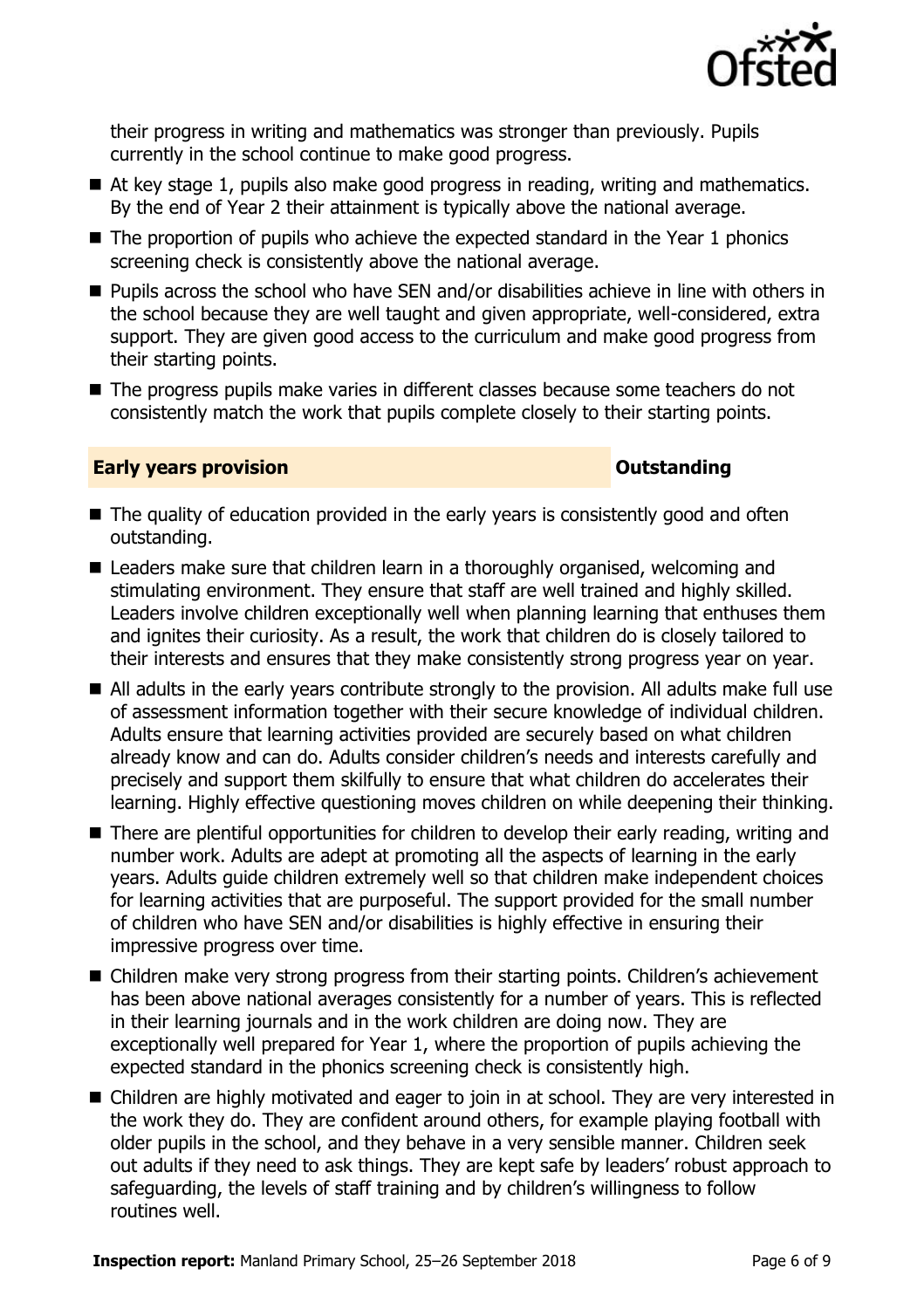

their progress in writing and mathematics was stronger than previously. Pupils currently in the school continue to make good progress.

- At key stage 1, pupils also make good progress in reading, writing and mathematics. By the end of Year 2 their attainment is typically above the national average.
- $\blacksquare$  The proportion of pupils who achieve the expected standard in the Year 1 phonics screening check is consistently above the national average.
- Pupils across the school who have SEN and/or disabilities achieve in line with others in the school because they are well taught and given appropriate, well-considered, extra support. They are given good access to the curriculum and make good progress from their starting points.
- The progress pupils make varies in different classes because some teachers do not consistently match the work that pupils complete closely to their starting points.

#### **Early years provision CONSTANDING TO A RESEARCH CONSTANDING TO A RESEARCH CONSTANDING TO A RESEARCH CONSTANDING TO A RESEARCH CONSTANDING TO A RESEARCH CONSTANDING TO A RESEARCH CONSTANDING TO A RESEARCH CONSTANDING TO**

- The quality of education provided in the early years is consistently good and often outstanding.
- Leaders make sure that children learn in a thoroughly organised, welcoming and stimulating environment. They ensure that staff are well trained and highly skilled. Leaders involve children exceptionally well when planning learning that enthuses them and ignites their curiosity. As a result, the work that children do is closely tailored to their interests and ensures that they make consistently strong progress year on year.
- All adults in the early years contribute strongly to the provision. All adults make full use of assessment information together with their secure knowledge of individual children. Adults ensure that learning activities provided are securely based on what children already know and can do. Adults consider children's needs and interests carefully and precisely and support them skilfully to ensure that what children do accelerates their learning. Highly effective questioning moves children on while deepening their thinking.
- There are plentiful opportunities for children to develop their early reading, writing and number work. Adults are adept at promoting all the aspects of learning in the early years. Adults guide children extremely well so that children make independent choices for learning activities that are purposeful. The support provided for the small number of children who have SEN and/or disabilities is highly effective in ensuring their impressive progress over time.
- Children make very strong progress from their starting points. Children's achievement has been above national averages consistently for a number of years. This is reflected in their learning journals and in the work children are doing now. They are exceptionally well prepared for Year 1, where the proportion of pupils achieving the expected standard in the phonics screening check is consistently high.
- Children are highly motivated and eager to join in at school. They are very interested in the work they do. They are confident around others, for example playing football with older pupils in the school, and they behave in a very sensible manner. Children seek out adults if they need to ask things. They are kept safe by leaders' robust approach to safeguarding, the levels of staff training and by children's willingness to follow routines well.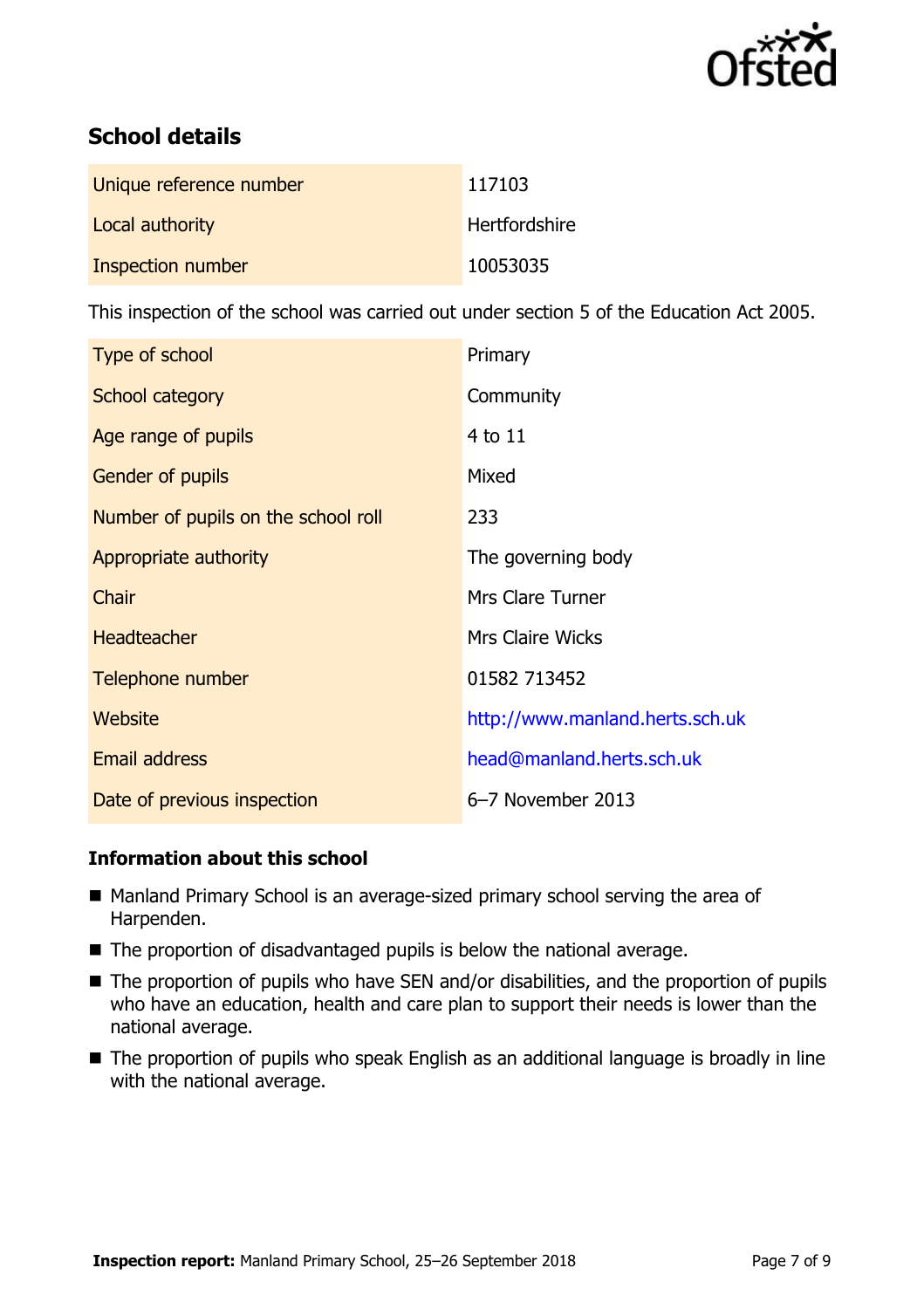

# **School details**

| Unique reference number | 117103               |
|-------------------------|----------------------|
| Local authority         | <b>Hertfordshire</b> |
| Inspection number       | 10053035             |

This inspection of the school was carried out under section 5 of the Education Act 2005.

| Type of school                      | Primary                         |
|-------------------------------------|---------------------------------|
| School category                     | Community                       |
| Age range of pupils                 | 4 to 11                         |
| <b>Gender of pupils</b>             | Mixed                           |
| Number of pupils on the school roll | 233                             |
| Appropriate authority               | The governing body              |
| Chair                               | Mrs Clare Turner                |
| <b>Headteacher</b>                  | <b>Mrs Claire Wicks</b>         |
| Telephone number                    | 01582 713452                    |
| Website                             | http://www.manland.herts.sch.uk |
| <b>Email address</b>                | head@manland.herts.sch.uk       |
| Date of previous inspection         | 6-7 November 2013               |

### **Information about this school**

- Manland Primary School is an average-sized primary school serving the area of Harpenden.
- The proportion of disadvantaged pupils is below the national average.
- The proportion of pupils who have SEN and/or disabilities, and the proportion of pupils who have an education, health and care plan to support their needs is lower than the national average.
- The proportion of pupils who speak English as an additional language is broadly in line with the national average.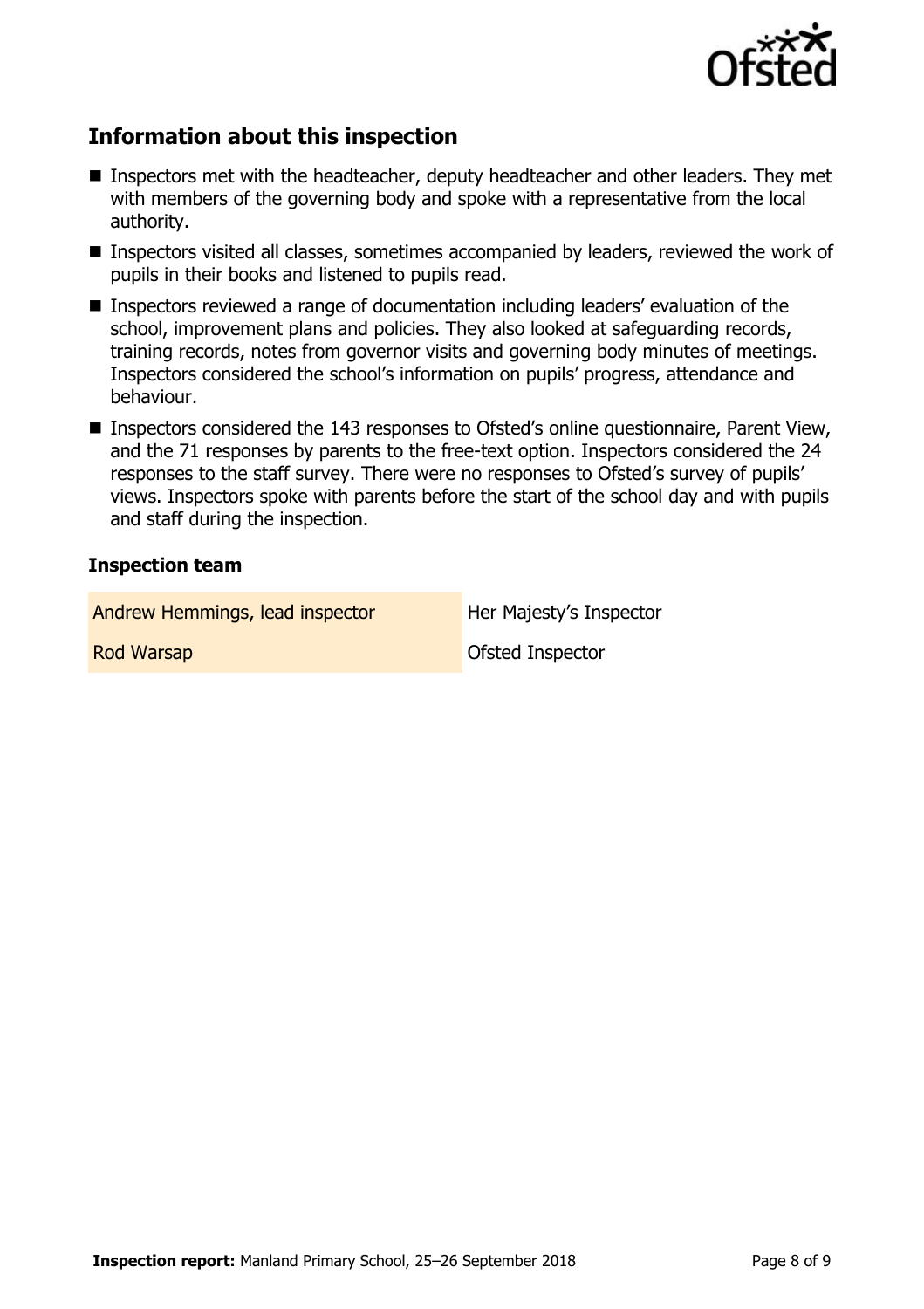

# **Information about this inspection**

- **Inspectors met with the headteacher, deputy headteacher and other leaders. They met** with members of the governing body and spoke with a representative from the local authority.
- Inspectors visited all classes, sometimes accompanied by leaders, reviewed the work of pupils in their books and listened to pupils read.
- Inspectors reviewed a range of documentation including leaders' evaluation of the school, improvement plans and policies. They also looked at safeguarding records, training records, notes from governor visits and governing body minutes of meetings. Inspectors considered the school's information on pupils' progress, attendance and behaviour.
- Inspectors considered the 143 responses to Ofsted's online questionnaire, Parent View, and the 71 responses by parents to the free-text option. Inspectors considered the 24 responses to the staff survey. There were no responses to Ofsted's survey of pupils' views. Inspectors spoke with parents before the start of the school day and with pupils and staff during the inspection.

#### **Inspection team**

| Andrew Hemmings, lead inspector | Her Majesty's Inspector |
|---------------------------------|-------------------------|
| <b>Rod Warsap</b>               | <b>Ofsted Inspector</b> |